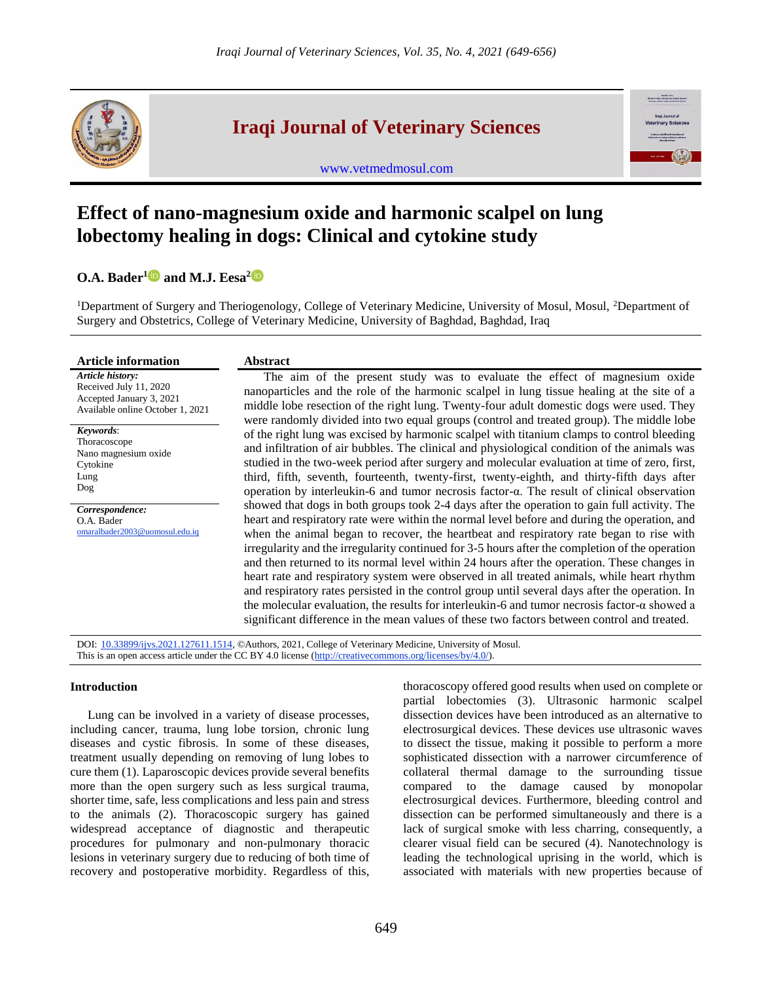

## **Iraqi Journal of Veterinary Sciences**

[www.vetmedmosul.com](http://www.vetmedmosul.com/)

# **Effect of nano-magnesium oxide and harmonic scalpel on lung lobectomy healing in dogs: Clinical and cytokine study**

### **O.A. Bader[1](https://orcid.org/0000-0001-6210-9464) and M.J. Eesa[2](https://orcid.org/0000-0002-2136-9996)**

<sup>1</sup>Department of Surgery and Theriogenology, College of Veterinary Medicine, University of Mosul, Mosul, <sup>2</sup>Department of Surgery and Obstetrics, College of Veterinary Medicine, University of Baghdad, Baghdad, Iraq

| <b>Article information</b>                                                                                                                      | <b>Abstract</b>                                                                                                                                                                                                                                                                                                                                                                                                                                                                                                                                                                                                                                                                                                                                                                                                                                                                                                                                                                                                                                                                                                                                                                                                                                                                                                                                                                                                                                                                                                                                                                                                                                                                                                                                                   |
|-------------------------------------------------------------------------------------------------------------------------------------------------|-------------------------------------------------------------------------------------------------------------------------------------------------------------------------------------------------------------------------------------------------------------------------------------------------------------------------------------------------------------------------------------------------------------------------------------------------------------------------------------------------------------------------------------------------------------------------------------------------------------------------------------------------------------------------------------------------------------------------------------------------------------------------------------------------------------------------------------------------------------------------------------------------------------------------------------------------------------------------------------------------------------------------------------------------------------------------------------------------------------------------------------------------------------------------------------------------------------------------------------------------------------------------------------------------------------------------------------------------------------------------------------------------------------------------------------------------------------------------------------------------------------------------------------------------------------------------------------------------------------------------------------------------------------------------------------------------------------------------------------------------------------------|
| Article history:<br>Received July 11, 2020<br>Accepted January 3, 2021<br>Available online October 1, 2021                                      | The aim of the present study was to evaluate the effect of magnesium oxide<br>nanoparticles and the role of the harmonic scalpel in lung tissue healing at the site of a<br>middle lobe resection of the right lung. Twenty-four adult domestic dogs were used. They<br>were randomly divided into two equal groups (control and treated group). The middle lobe<br>of the right lung was excised by harmonic scalpel with titanium clamps to control bleeding<br>and infiltration of air bubbles. The clinical and physiological condition of the animals was<br>studied in the two-week period after surgery and molecular evaluation at time of zero, first,<br>third, fifth, seventh, fourteenth, twenty-first, twenty-eighth, and thirty-fifth days after<br>operation by interleukin-6 and tumor necrosis factor-α. The result of clinical observation<br>showed that dogs in both groups took 2-4 days after the operation to gain full activity. The<br>heart and respiratory rate were within the normal level before and during the operation, and<br>when the animal began to recover, the heartbeat and respiratory rate began to rise with<br>irregularity and the irregularity continued for 3-5 hours after the completion of the operation<br>and then returned to its normal level within 24 hours after the operation. These changes in<br>heart rate and respiratory system were observed in all treated animals, while heart rhythm<br>and respiratory rates persisted in the control group until several days after the operation. In<br>the molecular evaluation, the results for interleukin-6 and tumor necrosis factor- $\alpha$ showed a<br>significant difference in the mean values of these two factors between control and treated. |
| Keywords:<br>Thoracoscope<br>Nano magnesium oxide<br>Cytokine<br>Lung<br>Dog<br>Correspondence:<br>O.A. Bader<br>omaralbader2003@uomosul.edu.iq |                                                                                                                                                                                                                                                                                                                                                                                                                                                                                                                                                                                                                                                                                                                                                                                                                                                                                                                                                                                                                                                                                                                                                                                                                                                                                                                                                                                                                                                                                                                                                                                                                                                                                                                                                                   |

DOI: [10.33899/ijvs.2021.127611.1514,](https://vetmedmosul.com/article_168672.html) ©Authors, 2021, College of Veterinary Medicine, University of Mosul. This is an open access article under the CC BY 4.0 license [\(http://creativecommons.org/licenses/by/4.0/\)](http://creativecommons.org/licenses/by/4.0/).

#### **Introduction**

Lung can be involved in a variety of disease processes, including cancer, trauma, lung lobe torsion, chronic lung diseases and cystic fibrosis. In some of these diseases, treatment usually depending on removing of lung lobes to cure them (1). Laparoscopic devices provide several benefits more than the open surgery such as less surgical trauma, shorter time, safe, less complications and less pain and stress to the animals (2). Thoracoscopic surgery has gained widespread acceptance of diagnostic and therapeutic procedures for pulmonary and non-pulmonary thoracic lesions in veterinary surgery due to reducing of both time of recovery and postoperative morbidity. Regardless of this,

thoracoscopy offered good results when used on complete or partial lobectomies (3). Ultrasonic harmonic scalpel dissection devices have been introduced as an alternative to electrosurgical devices. These devices use ultrasonic waves to dissect the tissue, making it possible to perform a more sophisticated dissection with a narrower circumference of collateral thermal damage to the surrounding tissue compared to the damage caused by monopolar electrosurgical devices. Furthermore, bleeding control and dissection can be performed simultaneously and there is a lack of surgical smoke with less charring, consequently, a clearer visual field can be secured (4). Nanotechnology is leading the technological uprising in the world, which is associated with materials with new properties because of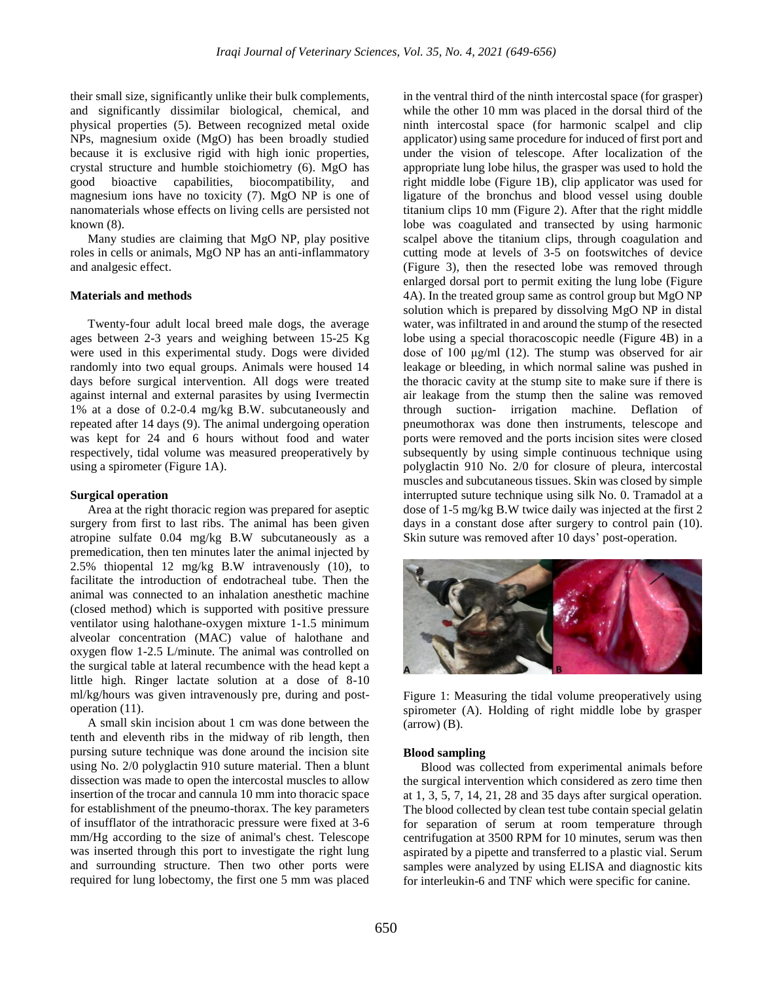their small size, significantly unlike their bulk complements, and significantly dissimilar biological, chemical, and physical properties (5). Between recognized metal oxide NPs, magnesium oxide (MgO) has been broadly studied because it is exclusive rigid with high ionic properties, crystal structure and humble stoichiometry (6). MgO has good bioactive capabilities, biocompatibility, and magnesium ions have no toxicity (7). MgO NP is one of nanomaterials whose effects on living cells are persisted not known (8).

Many studies are claiming that MgO NP, play positive roles in cells or animals, MgO NP has an anti-inflammatory and analgesic effect.

#### **Materials and methods**

Twenty-four adult local breed male dogs, the average ages between 2-3 years and weighing between 15-25 Kg were used in this experimental study. Dogs were divided randomly into two equal groups. Animals were housed 14 days before surgical intervention. All dogs were treated against internal and external parasites by using Ivermectin 1% at a dose of 0.2-0.4 mg/kg B.W. subcutaneously and repeated after 14 days (9). The animal undergoing operation was kept for 24 and 6 hours without food and water respectively, tidal volume was measured preoperatively by using a spirometer (Figure 1A).

#### **Surgical operation**

Area at the right thoracic region was prepared for aseptic surgery from first to last ribs. The animal has been given atropine sulfate 0.04 mg/kg B.W subcutaneously as a premedication, then ten minutes later the animal injected by 2.5% thiopental 12 mg/kg B.W intravenously (10), to facilitate the introduction of endotracheal tube. Then the animal was connected to an inhalation anesthetic machine (closed method) which is supported with positive pressure ventilator using halothane-oxygen mixture 1-1.5 minimum alveolar concentration (MAC) value of halothane and oxygen flow 1-2.5 L/minute. The animal was controlled on the surgical table at lateral recumbence with the head kept a little high. Ringer lactate solution at a dose of 8-10 ml/kg/hours was given intravenously pre, during and postoperation (11).

A small skin incision about 1 cm was done between the tenth and eleventh ribs in the midway of rib length, then pursing suture technique was done around the incision site using No. 2/0 polyglactin 910 suture material. Then a blunt dissection was made to open the intercostal muscles to allow insertion of the trocar and cannula 10 mm into thoracic space for establishment of the pneumo-thorax. The key parameters of insufflator of the intrathoracic pressure were fixed at 3-6 mm/Hg according to the size of animal's chest. Telescope was inserted through this port to investigate the right lung and surrounding structure. Then two other ports were required for lung lobectomy, the first one 5 mm was placed

in the ventral third of the ninth intercostal space (for grasper) while the other 10 mm was placed in the dorsal third of the ninth intercostal space (for harmonic scalpel and clip applicator) using same procedure for induced of first port and under the vision of telescope. After localization of the appropriate lung lobe hilus, the grasper was used to hold the right middle lobe (Figure 1B), clip applicator was used for ligature of the bronchus and blood vessel using double titanium clips 10 mm (Figure 2). After that the right middle lobe was coagulated and transected by using harmonic scalpel above the titanium clips, through coagulation and cutting mode at levels of 3-5 on footswitches of device (Figure 3), then the resected lobe was removed through enlarged dorsal port to permit exiting the lung lobe (Figure 4A). In the treated group same as control group but MgO NP solution which is prepared by dissolving MgO NP in distal water, was infiltrated in and around the stump of the resected lobe using a special thoracoscopic needle (Figure 4B) in a dose of 100 μg/ml (12). The stump was observed for air leakage or bleeding, in which normal saline was pushed in the thoracic cavity at the stump site to make sure if there is air leakage from the stump then the saline was removed through suction- irrigation machine. Deflation of pneumothorax was done then instruments, telescope and ports were removed and the ports incision sites were closed subsequently by using simple continuous technique using polyglactin 910 No. 2/0 for closure of pleura, intercostal muscles and subcutaneous tissues. Skin was closed by simple interrupted suture technique using silk No. 0. Tramadol at a dose of 1-5 mg/kg B.W twice daily was injected at the first 2 days in a constant dose after surgery to control pain (10). Skin suture was removed after 10 days' post-operation.



Figure 1: Measuring the tidal volume preoperatively using spirometer (A). Holding of right middle lobe by grasper  $\rm (arrow)$  (B).

#### **Blood sampling**

Blood was collected from experimental animals before the surgical intervention which considered as zero time then at 1, 3, 5, 7, 14, 21, 28 and 35 days after surgical operation. The blood collected by clean test tube contain special gelatin for separation of serum at room temperature through centrifugation at 3500 RPM for 10 minutes, serum was then aspirated by a pipette and transferred to a plastic vial. Serum samples were analyzed by using ELISA and diagnostic kits for interleukin-6 and TNF which were specific for canine.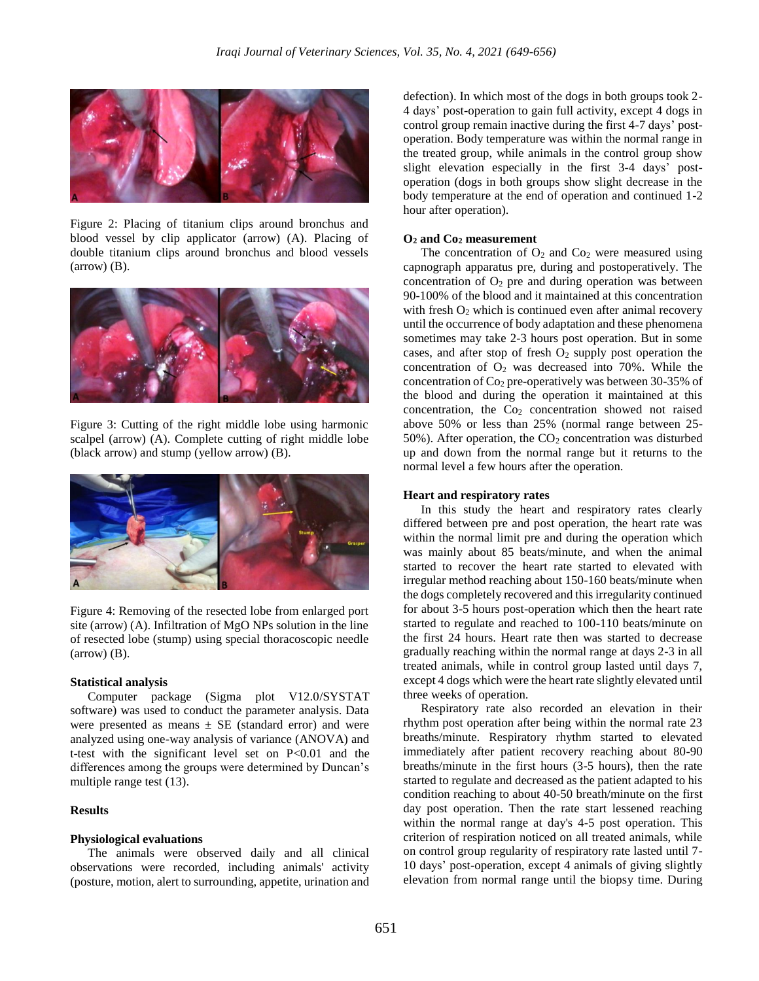

Figure 2: Placing of titanium clips around bronchus and blood vessel by clip applicator (arrow) (A). Placing of double titanium clips around bronchus and blood vessels (arrow) (B).



Figure 3: Cutting of the right middle lobe using harmonic scalpel (arrow) (A). Complete cutting of right middle lobe (black arrow) and stump (yellow arrow) (B).



Figure 4: Removing of the resected lobe from enlarged port site (arrow) (A). Infiltration of MgO NPs solution in the line of resected lobe (stump) using special thoracoscopic needle  $\rm (arrow)$  (B).

#### **Statistical analysis**

Computer package (Sigma plot V12.0/SYSTAT software) was used to conduct the parameter analysis. Data were presented as means  $\pm$  SE (standard error) and were analyzed using one-way analysis of variance (ANOVA) and t-test with the significant level set on P<0.01 and the differences among the groups were determined by Duncan's multiple range test (13).

#### **Results**

#### **Physiological evaluations**

The animals were observed daily and all clinical observations were recorded, including animals' activity (posture, motion, alert to surrounding, appetite, urination and

defection). In which most of the dogs in both groups took 2- 4 days' post-operation to gain full activity, except 4 dogs in control group remain inactive during the first 4-7 days' postoperation. Body temperature was within the normal range in the treated group, while animals in the control group show slight elevation especially in the first 3-4 days' postoperation (dogs in both groups show slight decrease in the body temperature at the end of operation and continued 1-2 hour after operation).

#### **O<sup>2</sup> and Co<sup>2</sup> measurement**

The concentration of  $O_2$  and  $Co_2$  were measured using capnograph apparatus pre, during and postoperatively. The concentration of  $O_2$  pre and during operation was between 90-100% of the blood and it maintained at this concentration with fresh  $O_2$  which is continued even after animal recovery until the occurrence of body adaptation and these phenomena sometimes may take 2-3 hours post operation. But in some cases, and after stop of fresh  $O_2$  supply post operation the concentration of  $O_2$  was decreased into 70%. While the concentration of Co<sup>2</sup> pre-operatively was between 30-35% of the blood and during the operation it maintained at this concentration, the Co<sub>2</sub> concentration showed not raised above 50% or less than 25% (normal range between 25- 50%). After operation, the  $CO<sub>2</sub>$  concentration was disturbed up and down from the normal range but it returns to the normal level a few hours after the operation.

#### **Heart and respiratory rates**

In this study the heart and respiratory rates clearly differed between pre and post operation, the heart rate was within the normal limit pre and during the operation which was mainly about 85 beats/minute, and when the animal started to recover the heart rate started to elevated with irregular method reaching about 150-160 beats/minute when the dogs completely recovered and this irregularity continued for about 3-5 hours post-operation which then the heart rate started to regulate and reached to 100-110 beats/minute on the first 24 hours. Heart rate then was started to decrease gradually reaching within the normal range at days 2-3 in all treated animals, while in control group lasted until days 7, except 4 dogs which were the heart rate slightly elevated until three weeks of operation.

Respiratory rate also recorded an elevation in their rhythm post operation after being within the normal rate 23 breaths/minute. Respiratory rhythm started to elevated immediately after patient recovery reaching about 80-90 breaths/minute in the first hours (3-5 hours), then the rate started to regulate and decreased as the patient adapted to his condition reaching to about 40-50 breath/minute on the first day post operation. Then the rate start lessened reaching within the normal range at day's 4-5 post operation. This criterion of respiration noticed on all treated animals, while on control group regularity of respiratory rate lasted until 7- 10 days' post-operation, except 4 animals of giving slightly elevation from normal range until the biopsy time. During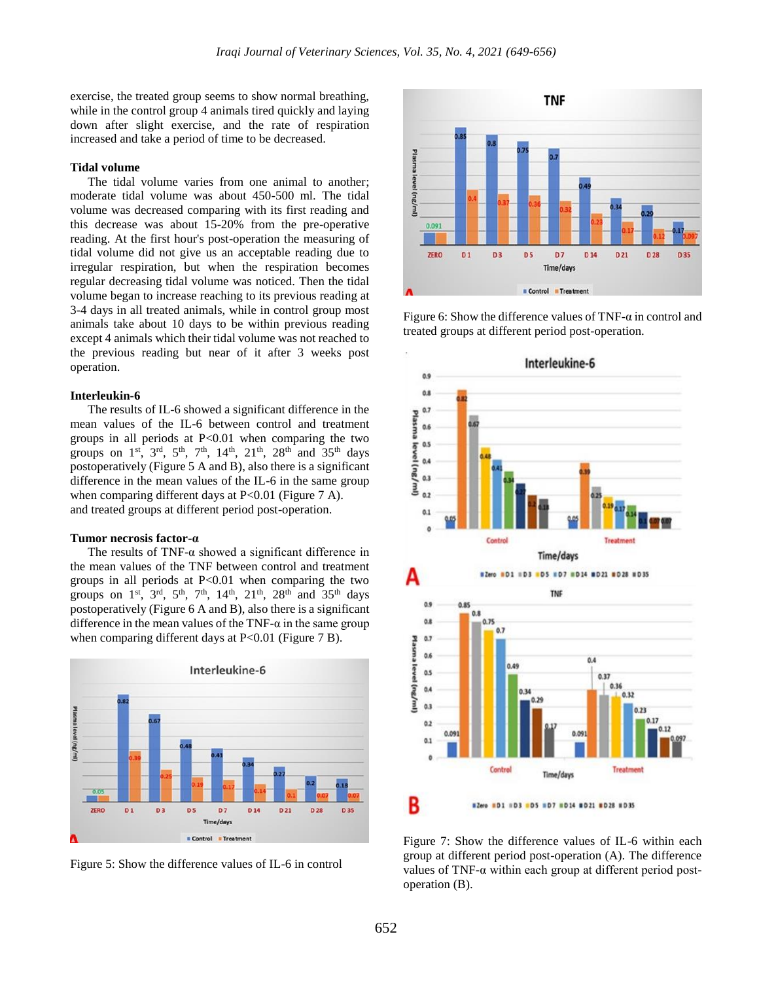exercise, the treated group seems to show normal breathing, while in the control group 4 animals tired quickly and laying down after slight exercise, and the rate of respiration increased and take a period of time to be decreased.

#### **Tidal volume**

The tidal volume varies from one animal to another; moderate tidal volume was about 450-500 ml. The tidal volume was decreased comparing with its first reading and this decrease was about 15-20% from the pre-operative reading. At the first hour's post-operation the measuring of tidal volume did not give us an acceptable reading due to irregular respiration, but when the respiration becomes regular decreasing tidal volume was noticed. Then the tidal volume began to increase reaching to its previous reading at 3-4 days in all treated animals, while in control group most animals take about 10 days to be within previous reading except 4 animals which their tidal volume was not reached to the previous reading but near of it after 3 weeks post operation.

#### **Interleukin-6**

The results of IL-6 showed a significant difference in the mean values of the IL-6 between control and treatment groups in all periods at  $P<0.01$  when comparing the two groups on 1<sup>st</sup>, 3<sup>rd</sup>, 5<sup>th</sup>, 7<sup>th</sup>, 14<sup>th</sup>, 21<sup>th</sup>, 28<sup>th</sup> and 35<sup>th</sup> days postoperatively (Figure 5 A and B), also there is a significant difference in the mean values of the IL-6 in the same group when comparing different days at P<0.01 (Figure 7 A). and treated groups at different period post-operation.

#### **Tumor necrosis factor-α**

The results of TNF- $\alpha$  showed a significant difference in the mean values of the TNF between control and treatment groups in all periods at  $P<0.01$  when comparing the two groups on  $1^{st}$ ,  $3^{rd}$ ,  $5^{th}$ ,  $7^{th}$ ,  $14^{th}$ ,  $21^{th}$ ,  $28^{th}$  and  $35^{th}$  days postoperatively (Figure 6 A and B), also there is a significant difference in the mean values of the TNF- $\alpha$  in the same group when comparing different days at  $P<0.01$  (Figure 7 B).



Figure 5: Show the difference values of IL-6 in control



Figure 6: Show the difference values of TNF- $\alpha$  in control and treated groups at different period post-operation.



Figure 7: Show the difference values of IL-6 within each group at different period post-operation (A). The difference values of TNF-α within each group at different period postoperation (B).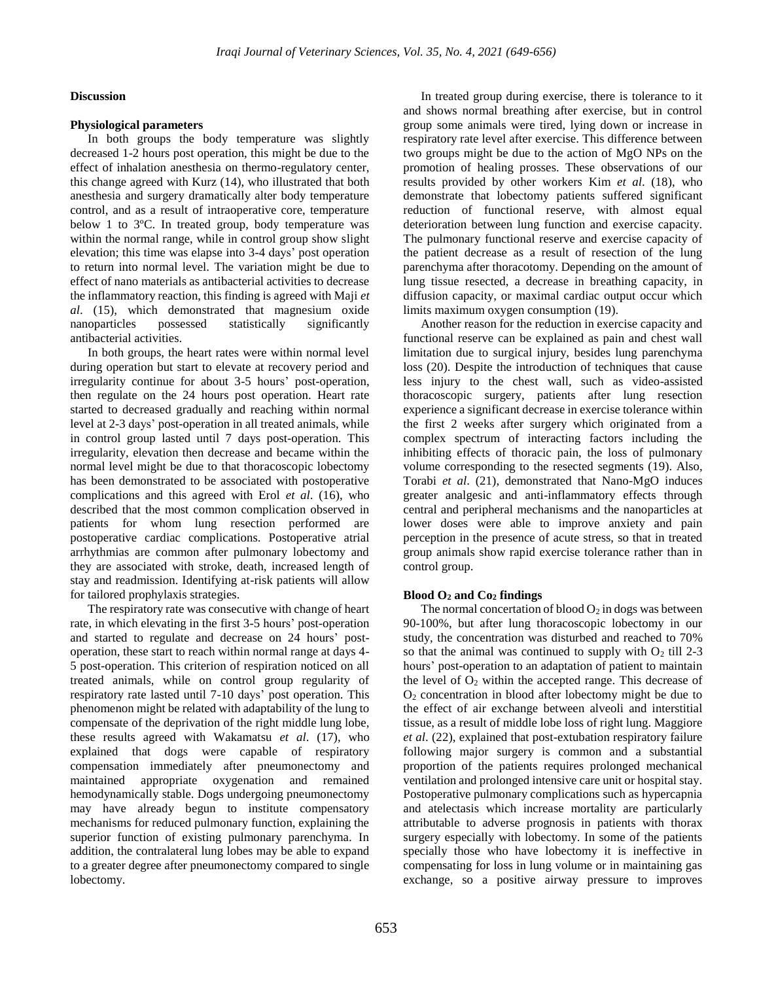#### **Discussion**

#### **Physiological parameters**

In both groups the body temperature was slightly decreased 1-2 hours post operation, this might be due to the effect of inhalation anesthesia on thermo-regulatory center, this change agreed with Kurz (14), who illustrated that both anesthesia and surgery dramatically alter body temperature control, and as a result of intraoperative core, temperature below 1 to 3ºC. In treated group, body temperature was within the normal range, while in control group show slight elevation; this time was elapse into 3-4 days' post operation to return into normal level. The variation might be due to effect of nano materials as antibacterial activities to decrease the inflammatory reaction, this finding is agreed with Maji *et al*. (15), which demonstrated that magnesium oxide nanoparticles possessed statistically significantly antibacterial activities.

In both groups, the heart rates were within normal level during operation but start to elevate at recovery period and irregularity continue for about 3-5 hours' post-operation, then regulate on the 24 hours post operation. Heart rate started to decreased gradually and reaching within normal level at 2-3 days' post-operation in all treated animals, while in control group lasted until 7 days post-operation. This irregularity, elevation then decrease and became within the normal level might be due to that thoracoscopic lobectomy has been demonstrated to be associated with postoperative complications and this agreed with Erol *et al*. (16), who described that the most common complication observed in patients for whom lung resection performed are postoperative cardiac complications. Postoperative atrial arrhythmias are common after pulmonary lobectomy and they are associated with stroke, death, increased length of stay and readmission. Identifying at-risk patients will allow for tailored prophylaxis strategies.

The respiratory rate was consecutive with change of heart rate, in which elevating in the first 3-5 hours' post-operation and started to regulate and decrease on 24 hours' postoperation, these start to reach within normal range at days 4- 5 post-operation. This criterion of respiration noticed on all treated animals, while on control group regularity of respiratory rate lasted until 7-10 days' post operation. This phenomenon might be related with adaptability of the lung to compensate of the deprivation of the right middle lung lobe, these results agreed with Wakamatsu *et al*. (17), who explained that dogs were capable of respiratory compensation immediately after pneumonectomy and maintained appropriate oxygenation and remained hemodynamically stable. Dogs undergoing pneumonectomy may have already begun to institute compensatory mechanisms for reduced pulmonary function, explaining the superior function of existing pulmonary parenchyma. In addition, the contralateral lung lobes may be able to expand to a greater degree after pneumonectomy compared to single lobectomy.

In treated group during exercise, there is tolerance to it and shows normal breathing after exercise, but in control group some animals were tired, lying down or increase in respiratory rate level after exercise. This difference between two groups might be due to the action of MgO NPs on the promotion of healing prosses. These observations of our results provided by other workers Kim *et al*. (18), who demonstrate that lobectomy patients suffered significant reduction of functional reserve, with almost equal deterioration between lung function and exercise capacity. The pulmonary functional reserve and exercise capacity of the patient decrease as a result of resection of the lung parenchyma after thoracotomy. Depending on the amount of lung tissue resected, a decrease in breathing capacity, in diffusion capacity, or maximal cardiac output occur which limits maximum oxygen consumption (19).

Another reason for the reduction in exercise capacity and functional reserve can be explained as pain and chest wall limitation due to surgical injury, besides lung parenchyma loss (20). Despite the introduction of techniques that cause less injury to the chest wall, such as video-assisted thoracoscopic surgery, patients after lung resection experience a significant decrease in exercise tolerance within the first 2 weeks after surgery which originated from a complex spectrum of interacting factors including the inhibiting effects of thoracic pain, the loss of pulmonary volume corresponding to the resected segments (19). Also, Torabi *et al*. (21), demonstrated that Nano-MgO induces greater analgesic and anti-inflammatory effects through central and peripheral mechanisms and the nanoparticles at lower doses were able to improve anxiety and pain perception in the presence of acute stress, so that in treated group animals show rapid exercise tolerance rather than in control group.

#### **Blood O<sup>2</sup> and Co<sup>2</sup> findings**

The normal concertation of blood  $O_2$  in dogs was between 90-100%, but after lung thoracoscopic lobectomy in our study, the concentration was disturbed and reached to 70% so that the animal was continued to supply with  $O_2$  till 2-3 hours' post-operation to an adaptation of patient to maintain the level of  $O_2$  within the accepted range. This decrease of  $O<sub>2</sub>$  concentration in blood after lobectomy might be due to the effect of air exchange between alveoli and interstitial tissue, as a result of middle lobe loss of right lung. Maggiore *et al*. (22), explained that post-extubation respiratory failure following major surgery is common and a substantial proportion of the patients requires prolonged mechanical ventilation and prolonged intensive care unit or hospital stay. Postoperative pulmonary complications such as hypercapnia and atelectasis which increase mortality are particularly attributable to adverse prognosis in patients with thorax surgery especially with lobectomy. In some of the patients specially those who have lobectomy it is ineffective in compensating for loss in lung volume or in maintaining gas exchange, so a positive airway pressure to improves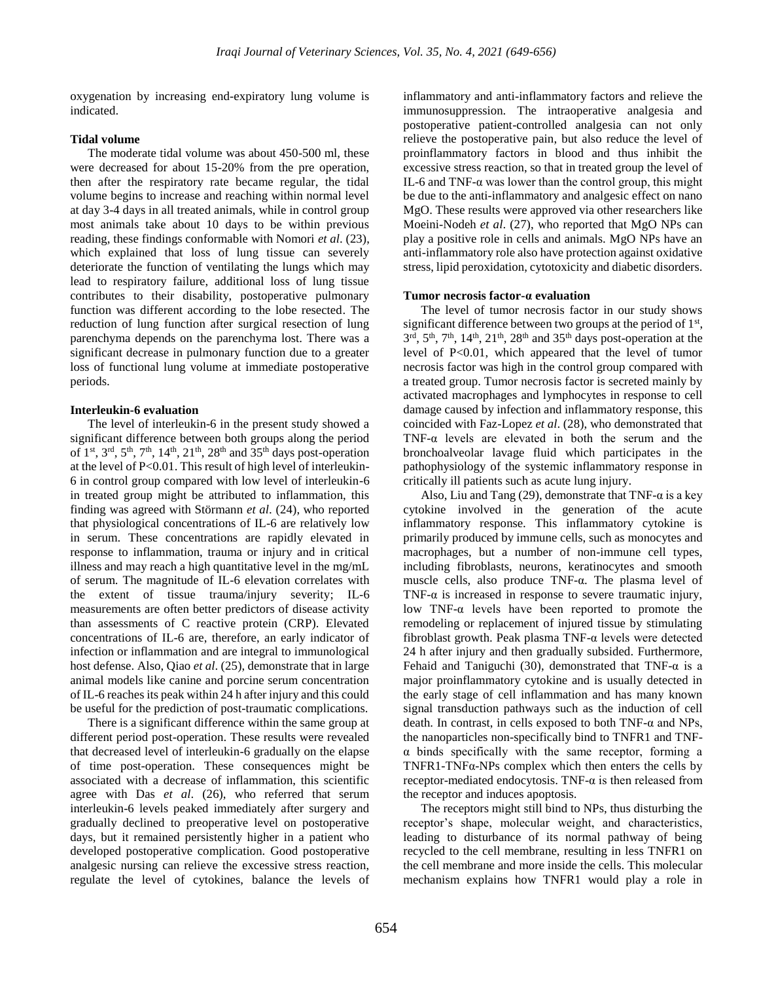oxygenation by increasing end-expiratory lung volume is indicated.

#### **Tidal volume**

The moderate tidal volume was about 450-500 ml, these were decreased for about 15-20% from the pre operation, then after the respiratory rate became regular, the tidal volume begins to increase and reaching within normal level at day 3-4 days in all treated animals, while in control group most animals take about 10 days to be within previous reading, these findings conformable with Nomori *et al*. (23), which explained that loss of lung tissue can severely deteriorate the function of ventilating the lungs which may lead to respiratory failure, additional loss of lung tissue contributes to their disability, postoperative pulmonary function was different according to the lobe resected. The reduction of lung function after surgical resection of lung parenchyma depends on the parenchyma lost. There was a significant decrease in pulmonary function due to a greater loss of functional lung volume at immediate postoperative periods.

#### **Interleukin-6 evaluation**

The level of interleukin-6 in the present study showed a significant difference between both groups along the period of  $1<sup>st</sup>$ ,  $3<sup>rd</sup>$ ,  $5<sup>th</sup>$ ,  $7<sup>th</sup>$ ,  $14<sup>th</sup>$ ,  $21<sup>th</sup>$ ,  $28<sup>th</sup>$  and  $35<sup>th</sup>$  days post-operation at the level of P<0.01. This result of high level of interleukin-6 in control group compared with low level of interleukin-6 in treated group might be attributed to inflammation, this finding was agreed with Störmann *et al*. (24), who reported that physiological concentrations of IL-6 are relatively low in serum. These concentrations are rapidly elevated in response to inflammation, trauma or injury and in critical illness and may reach a high quantitative level in the mg/mL of serum. The magnitude of IL-6 elevation correlates with the extent of tissue trauma/injury severity; IL-6 measurements are often better predictors of disease activity than assessments of C reactive protein (CRP). Elevated concentrations of IL-6 are, therefore, an early indicator of infection or inflammation and are integral to immunological host defense. Also, Qiao *et al*. (25), demonstrate that in large animal models like canine and porcine serum concentration of IL-6 reaches its peak within 24 h after injury and this could be useful for the prediction of post-traumatic complications.

There is a significant difference within the same group at different period post-operation. These results were revealed that decreased level of interleukin-6 gradually on the elapse of time post-operation. These consequences might be associated with a decrease of inflammation, this scientific agree with Das *et al*. (26), who referred that serum interleukin-6 levels peaked immediately after surgery and gradually declined to preoperative level on postoperative days, but it remained persistently higher in a patient who developed postoperative complication. Good postoperative analgesic nursing can relieve the excessive stress reaction, regulate the level of cytokines, balance the levels of

inflammatory and anti-inflammatory factors and relieve the immunosuppression. The intraoperative analgesia and postoperative patient-controlled analgesia can not only relieve the postoperative pain, but also reduce the level of proinflammatory factors in blood and thus inhibit the excessive stress reaction, so that in treated group the level of IL-6 and TNF- $\alpha$  was lower than the control group, this might be due to the anti-inflammatory and analgesic effect on nano MgO. These results were approved via other researchers like Moeini-Nodeh *et al*. (27), who reported that MgO NPs can play a positive role in cells and animals. MgO NPs have an anti-inflammatory role also have protection against oxidative stress, lipid peroxidation, cytotoxicity and diabetic disorders.

#### **Tumor necrosis factor-α evaluation**

The level of tumor necrosis factor in our study shows significant difference between two groups at the period of  $1<sup>st</sup>$ ,  $3<sup>rd</sup>$ ,  $5<sup>th</sup>$ ,  $7<sup>th</sup>$ ,  $14<sup>th</sup>$ ,  $21<sup>th</sup>$ ,  $28<sup>th</sup>$  and  $35<sup>th</sup>$  days post-operation at the level of P<0.01, which appeared that the level of tumor necrosis factor was high in the control group compared with a treated group. Tumor necrosis factor is secreted mainly by activated macrophages and lymphocytes in response to cell damage caused by infection and inflammatory response, this coincided with Faz-Lopez *et al*. (28), who demonstrated that TNF-α levels are elevated in both the serum and the bronchoalveolar lavage fluid which participates in the pathophysiology of the systemic inflammatory response in critically ill patients such as acute lung injury.

Also, Liu and Tang (29), demonstrate that TNF- $\alpha$  is a key cytokine involved in the generation of the acute inflammatory response. This inflammatory cytokine is primarily produced by immune cells, such as monocytes and macrophages, but a number of non-immune cell types, including fibroblasts, neurons, keratinocytes and smooth muscle cells, also produce TNF-α. The plasma level of TNF- $\alpha$  is increased in response to severe traumatic injury, low TNF-α levels have been reported to promote the remodeling or replacement of injured tissue by stimulating fibroblast growth. Peak plasma TNF-α levels were detected 24 h after injury and then gradually subsided. Furthermore, Fehaid and Taniguchi (30), demonstrated that TNF- $\alpha$  is a major proinflammatory cytokine and is usually detected in the early stage of cell inflammation and has many known signal transduction pathways such as the induction of cell death. In contrast, in cells exposed to both TNF- $\alpha$  and NPs, the nanoparticles non-specifically bind to TNFR1 and TNFα binds specifically with the same receptor, forming a TNFR1-TNFα-NPs complex which then enters the cells by receptor-mediated endocytosis. TNF-α is then released from the receptor and induces apoptosis.

The receptors might still bind to NPs, thus disturbing the receptor's shape, molecular weight, and characteristics, leading to disturbance of its normal pathway of being recycled to the cell membrane, resulting in less TNFR1 on the cell membrane and more inside the cells. This molecular mechanism explains how TNFR1 would play a role in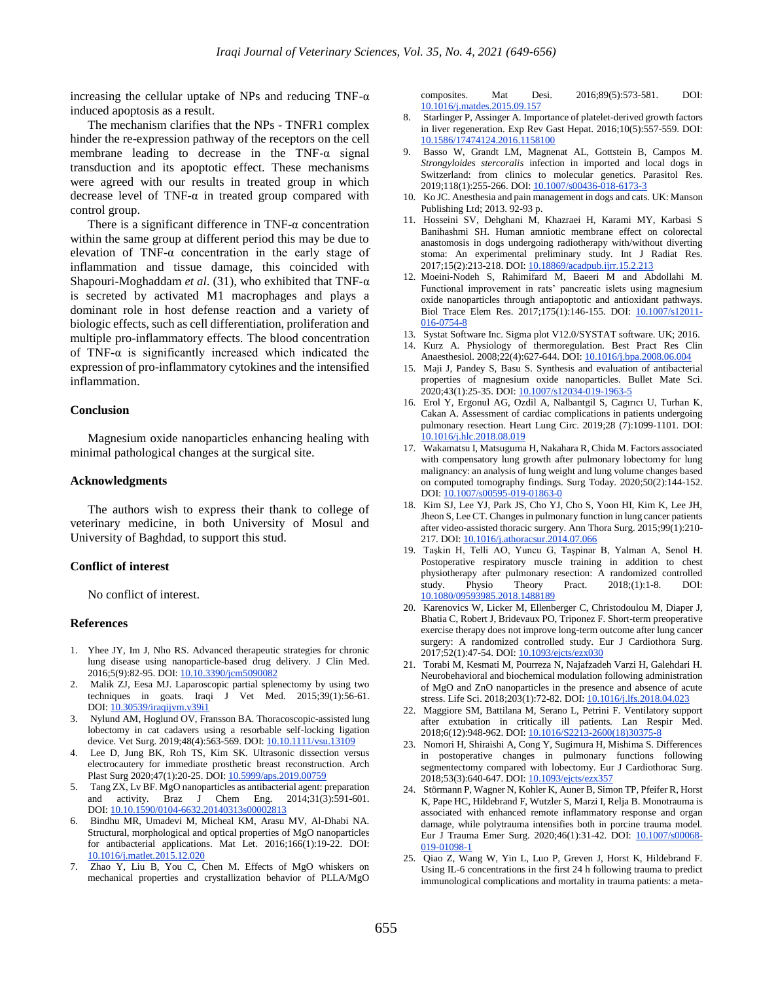increasing the cellular uptake of NPs and reducing TNF- $\alpha$ induced apoptosis as a result.

The mechanism clarifies that the NPs - TNFR1 complex hinder the re-expression pathway of the receptors on the cell membrane leading to decrease in the TNF-α signal transduction and its apoptotic effect. These mechanisms were agreed with our results in treated group in which decrease level of TNF- $\alpha$  in treated group compared with control group.

There is a significant difference in  $TNF-\alpha$  concentration within the same group at different period this may be due to elevation of TNF-α concentration in the early stage of inflammation and tissue damage, this coincided with Shapouri-Moghaddam *et al*. (31), who exhibited that TNF-α is secreted by activated M1 macrophages and plays a dominant role in host defense reaction and a variety of biologic effects, such as cell differentiation, proliferation and multiple pro-inflammatory effects. The blood concentration of TNF- $\alpha$  is significantly increased which indicated the expression of pro-inflammatory cytokines and the intensified inflammation.

#### **Conclusion**

Magnesium oxide nanoparticles enhancing healing with minimal pathological changes at the surgical site.

#### **Acknowledgments**

The authors wish to express their thank to college of veterinary medicine, in both University of Mosul and University of Baghdad, to support this stud.

#### **Conflict of interest**

No conflict of interest.

#### **References**

- 1. Yhee JY, Im J, Nho RS. Advanced therapeutic strategies for chronic lung disease using nanoparticle-based drug delivery. J Clin Med. 2016;5(9):82-95. DOI: [10.10.3390/jcm5090082](http://www.doi.org/10.10.3390/jcm5090082)
- 2. Malik ZJ, Eesa MJ. Laparoscopic partial splenectomy by using two techniques in goats. Iraqi J Vet Med. 2015;39(1):56-61. DOI: [10.30539/iraqijvm.v39i1](https://doi.org/10.30539/iraqijvm.v39i1)
- 3. Nylund AM, Hoglund OV, Fransson BA. Thoracoscopic-assisted lung lobectomy in cat cadavers using a resorbable self-locking ligation device. Vet Surg. 2019;48(4):563-569. DOI: [10.10.1111/vsu.13109](http://www.doi.org/10.10.1111/vsu.13109)
- 4. Lee D, Jung BK, Roh TS, Kim SK. Ultrasonic dissection versus electrocautery for immediate prosthetic breast reconstruction. Arch Plast Surg 2020;47(1):20-25. DOI: [10.5999/aps.2019.00759](https://doi.org/10.5999/aps.2019.00759)
- 5. Tang ZX, Lv BF. MgO nanoparticles as antibacterial agent: preparation and activity. Braz J Chem Eng. 2014;31(3):591-601. DOI: [10.10.1590/0104-6632.20140313s00002813](http://www.doi.org/10.10.1590/0104-6632.20140313s00002813)
- 6. Bindhu MR, Umadevi M, Micheal KM, Arasu MV, Al-Dhabi NA. Structural, morphological and optical properties of MgO nanoparticles for antibacterial applications. Mat Let. 2016;166(1):19-22. DOI: [10.1016/j.matlet.2015.12.020](https://doi.org/10.1016/j.matlet.2015.12.020)
- 7. Zhao Y, Liu B, You C, Chen M. Effects of MgO whiskers on mechanical properties and crystallization behavior of PLLA/MgO

composites. Mat Desi. 2016;89(5):573-581. DOI: [10.1016/j.matdes.2015.09.157](https://doi.org/10.1016/j.matdes.2015.09.157)

- 8. Starlinger P, Assinger A. Importance of platelet-derived growth factors in liver regeneration. Exp Rev Gast Hepat. 2016;10(5):557-559. DOI: [10.1586/17474124.2016.1158100](http://dx.doi.org/10.1586/17474124.2016.1158100)
- 9. Basso W, Grandt LM, Magnenat AL, Gottstein B, Campos M. *Strongyloides stercoralis* infection in imported and local dogs in Switzerland: from clinics to molecular genetics. Parasitol Res. 2019;118(1):255-266. DOI: [10.1007/s00436-018-6173-3](http://dx.doi.org/10.1007/s00436-018-6173-3)
- 10. Ko JC. Anesthesia and pain management in dogs and cats. UK: Manson Publishing Ltd; 2013. 92-93 p.
- 11. Hosseini SV, Dehghani M, Khazraei H, Karami MY, Karbasi S Banihashmi SH. Human amniotic membrane effect on colorectal anastomosis in dogs undergoing radiotherapy with/without diverting stoma: An experimental preliminary study. Int J Radiat Res. 2017;15(2):213-218. DOI[: 10.18869/acadpub.ijrr.15.2.213](http://dx.doi.org/10.18869/acadpub.ijrr.15.2.213)
- 12. Moeini-Nodeh S, Rahimifard M, Baeeri M and Abdollahi M. Functional improvement in rats' pancreatic islets using magnesium oxide nanoparticles through antiapoptotic and antioxidant pathways. Biol Trace Elem Res. 2017;175(1):146-155. DOI: [10.1007/s12011-](http://www.doi.org/10.1007/s12011-016-0754-8) [016-0754-8](http://www.doi.org/10.1007/s12011-016-0754-8)
- 13. Systat Software Inc. Sigma plot V12.0/SYSTAT software. UK; 2016.
- 14. Kurz A. Physiology of thermoregulation. Best Pract Res Clin Anaesthesiol. 2008;22(4):627-644. DOI: [10.1016/j.bpa.2008.06.004](https://doi.org/10.1016/j.bpa.2008.06.004)
- 15. Maji J, Pandey S, Basu S. Synthesis and evaluation of antibacterial properties of magnesium oxide nanoparticles. Bullet Mate Sci. 2020;43(1):25-35. DOI[: 10.1007/s12034-019-1963-5](http://www.doi.org/10.1007/s12034-019-1963-5)
- 16. Erol Y, Ergonul AG, Ozdil A, Nalbantgil S, Cagırıcı U, Turhan K, Cakan A. Assessment of cardiac complications in patients undergoing pulmonary resection. Heart Lung Circ. 2019;28 (7):1099-1101. DOI: [10.1016/j.hlc.2018.08.019](http://www.doi.org/10.1016/j.hlc.2018.08.019)
- 17. Wakamatsu I, Matsuguma H, Nakahara R, Chida M. Factors associated with compensatory lung growth after pulmonary lobectomy for lung malignancy: an analysis of lung weight and lung volume changes based on computed tomography findings. Surg Today. 2020;50(2):144-152. DOI: [10.1007/s00595-019-01863-0](http://www.doi.org/10.1007/s00595-019-01863-0)
- 18. Kim SJ, Lee YJ, Park JS, Cho YJ, Cho S, Yoon HI, Kim K, Lee JH, Jheon S, Lee CT. Changes in pulmonary function in lung cancer patients after video-assisted thoracic surgery. Ann Thora Surg. 2015;99(1):210- 217. DOI: [10.1016/j.athoracsur.2014.07.066](http://dx.doi.org/10.1016/j.athoracsur.2014.07.066)
- 19. Taşkin H, Telli AO, Yuncu G, Taşpinar B, Yalman A, Senol H. Postoperative respiratory muscle training in addition to chest physiotherapy after pulmonary resection: A randomized controlled study. Physio Theory Pract. 2018;(1):1-8. DOI: [10.1080/09593985.2018.1488189](http://www.doi.org/10.1080/09593985.2018.1488189)
- 20. Karenovics W, Licker M, Ellenberger C, Christodoulou M, Diaper J, Bhatia C, Robert J, Bridevaux PO, Triponez F. Short-term preoperative exercise therapy does not improve long-term outcome after lung cancer surgery: A randomized controlled study. Eur J Cardiothora Surg. 2017;52(1):47-54. DOI[: 10.1093/ejcts/ezx030](http://www.doi.org/10.1093/ejcts/ezx030)
- 21. Torabi M, Kesmati M, Pourreza N, Najafzadeh Varzi H, Galehdari H. Neurobehavioral and biochemical modulation following administration of MgO and ZnO nanoparticles in the presence and absence of acute stress. Life Sci. 2018;203(1):72-82. DOI: [10.1016/j.lfs.2018.04.023](http://www.doi.org/10.1016/j.lfs.2018.04.023)
- 22. Maggiore SM, Battilana M, Serano L, Petrini F. Ventilatory support after extubation in critically ill patients. Lan Respir Med. 2018;6(12):948-962. DOI: [10.1016/S2213-2600\(18\)30375-8](http://www.doi.org/10.1016/S2213-2600(18)30375-8)
- 23. Nomori H, Shiraishi A, Cong Y, Sugimura H, Mishima S. Differences in postoperative changes in pulmonary functions following segmentectomy compared with lobectomy. Eur J Cardiothorac Surg. 2018;53(3):640-647. DOI[: 10.1093/ejcts/ezx357](http://www.doi.org/10.1093/ejcts/ezx357)
- 24. Störmann P, Wagner N, Kohler K, Auner B, Simon TP, Pfeifer R, Horst K, Pape HC, Hildebrand F, Wutzler S, Marzi I, Relja B. Monotrauma is associated with enhanced remote inflammatory response and organ damage, while polytrauma intensifies both in porcine trauma model. Eur J Trauma Emer Surg. 2020;46(1):31-42. DOI: [10.1007/s00068-](http://www.doi.org/10.1007/s00068-019-01098-1) [019-01098-1](http://www.doi.org/10.1007/s00068-019-01098-1)
- 25. Qiao Z, Wang W, Yin L, Luo P, Greven J, Horst K, Hildebrand F. Using IL-6 concentrations in the first 24 h following trauma to predict immunological complications and mortality in trauma patients: a meta-